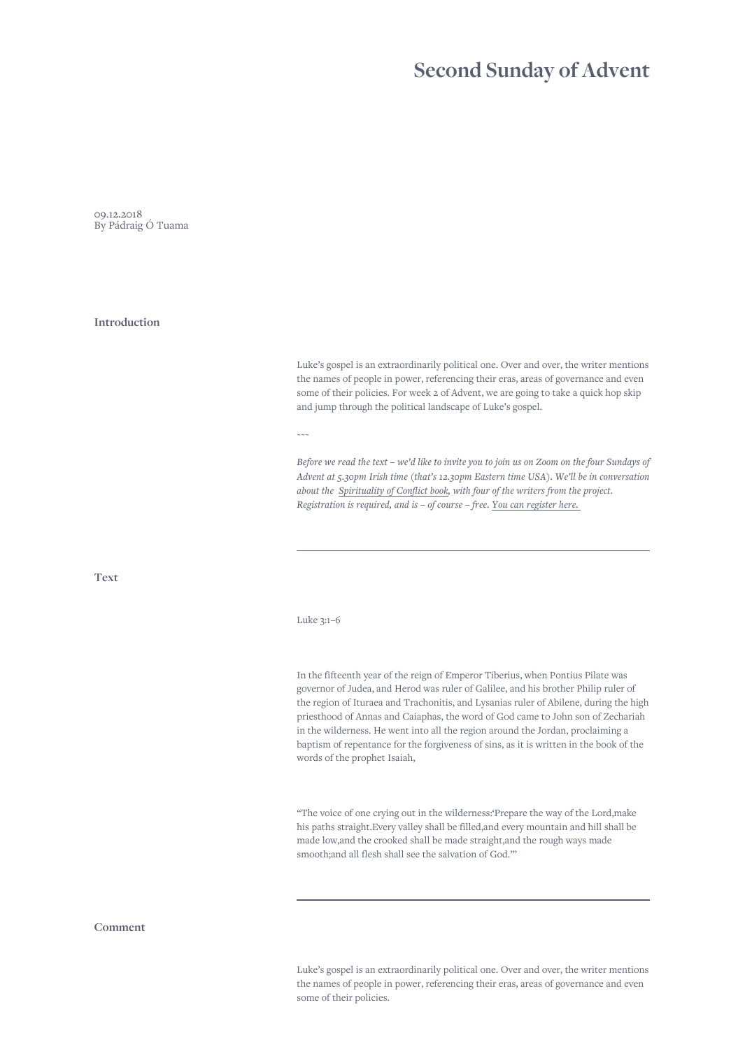## **Second Sunday of Advent**

09.12.2018 By Pádraig Ó Tuama

## **Introduction**

Luke's gospel is an extraordinarily political one. Over and over, the writer mentions the names of people in power, referencing their eras, areas of governance and even some of their policies. For week 2 of Advent, we are going to take a quick hop skip and jump through the political landscape of Luke's gospel.

 $\sim\sim\sim$ 

*Before we read the text – we'd like to invite you to join us on Zoom on the four Sundays of Advent at 5.30pm Irish time (that's 12.30pm Eastern time USA). We'll be in conversation about the [Spirituality of Conflict book,](https://canterburypress.hymnsam.co.uk/books/9781786223999/what-were-you-arguing-about-along-the-way) with four of the writers from the project. Registration is required, and is – of course – free. [You can register here.](https://us06web.zoom.us/meeting/register/tZcpde2qqT8sGtPaveCorT1BhaP9V_nIXWrK)* 

**Text**

## Luke 3:1–6

In the fifteenth year of the reign of Emperor Tiberius, when Pontius Pilate was governor of Judea, and Herod was ruler of Galilee, and his brother Philip ruler of the region of Ituraea and Trachonitis, and Lysanias ruler of Abilene, during the high priesthood of Annas and Caiaphas, the word of God came to John son of Zechariah in the wilderness. He went into all the region around the Jordan, proclaiming a baptism of repentance for the forgiveness of sins, as it is written in the book of the words of the prophet Isaiah,

"The voice of one crying out in the wilderness:'Prepare the way of the Lord,make his paths straight.Every valley shall be filled,and every mountain and hill shall be made low,and the crooked shall be made straight,and the rough ways made smooth;and all flesh shall see the salvation of God.'"

## **Comment**

Luke's gospel is an extraordinarily political one. Over and over, the writer mentions the names of people in power, referencing their eras, areas of governance and even some of their policies.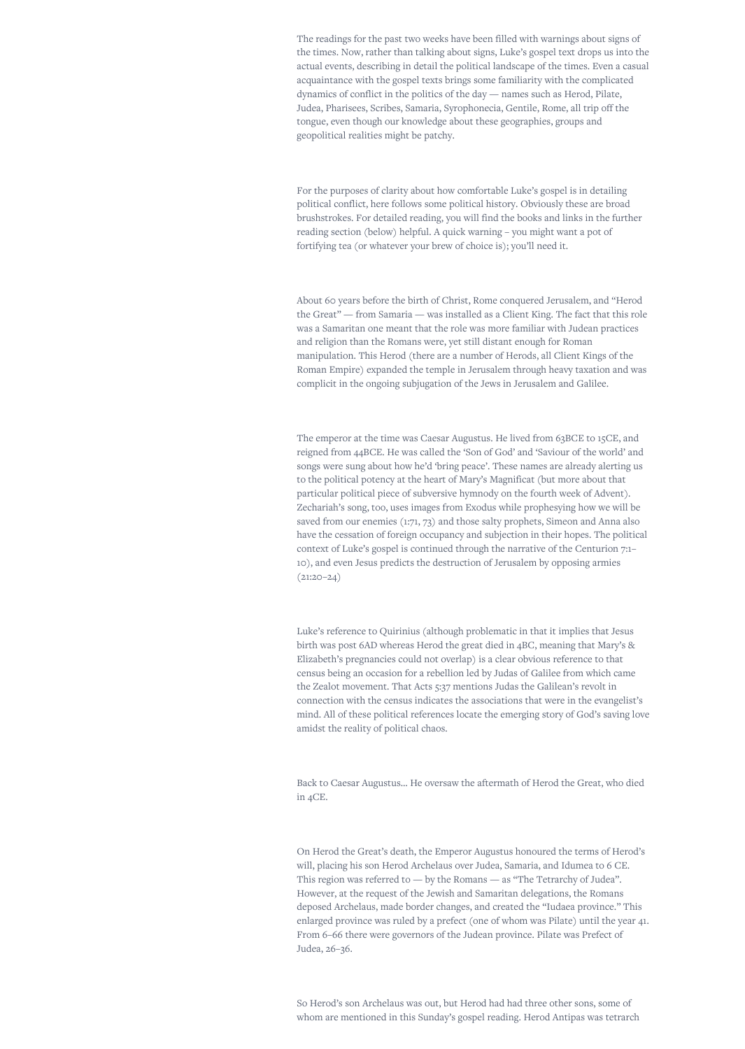The readings for the past two weeks have been filled with warnings about signs of the times. Now, rather than talking about signs, Luke's gospel text drops us into the actual events, describing in detail the political landscape of the times. Even a casual acquaintance with the gospel texts brings some familiarity with the complicated dynamics of conflict in the politics of the day — names such as Herod, Pilate, Judea, Pharisees, Scribes, Samaria, Syrophonecia, Gentile, Rome, all trip off the tongue, even though our knowledge about these geographies, groups and geopolitical realities might be patchy.

For the purposes of clarity about how comfortable Luke's gospel is in detailing political conflict, here follows some political history. Obviously these are broad brushstrokes. For detailed reading, you will find the books and links in the further reading section (below) helpful. A quick warning – you might want a pot of fortifying tea (or whatever your brew of choice is); you'll need it.

About 60 years before the birth of Christ, Rome conquered Jerusalem, and "Herod the Great" — from Samaria — was installed as a Client King. The fact that this role was a Samaritan one meant that the role was more familiar with Judean practices and religion than the Romans were, yet still distant enough for Roman manipulation. This Herod (there are a number of Herods, all Client Kings of the Roman Empire) expanded the temple in Jerusalem through heavy taxation and was complicit in the ongoing subjugation of the Jews in Jerusalem and Galilee.

The emperor at the time was Caesar Augustus. He lived from 63BCE to 15CE, and reigned from 44BCE. He was called the 'Son of God' and 'Saviour of the world' and songs were sung about how he'd 'bring peace'. These names are already alerting us to the political potency at the heart of Mary's Magnificat (but more about that particular political piece of subversive hymnody on the fourth week of Advent). Zechariah's song, too, uses images from Exodus while prophesying how we will be saved from our enemies (1:71, 73) and those salty prophets, Simeon and Anna also have the cessation of foreign occupancy and subjection in their hopes. The political context of Luke's gospel is continued through the narrative of the Centurion 7:1– 10), and even Jesus predicts the destruction of Jerusalem by opposing armies  $(21:20-24)$ 

Luke's reference to Quirinius (although problematic in that it implies that Jesus birth was post 6AD whereas Herod the great died in 4BC, meaning that Mary's & Elizabeth's pregnancies could not overlap) is a clear obvious reference to that census being an occasion for a rebellion led by Judas of Galilee from which came the Zealot movement. That Acts 5:37 mentions Judas the Galilean's revolt in connection with the census indicates the associations that were in the evangelist's mind. All of these political references locate the emerging story of God's saving love amidst the reality of political chaos.

Back to Caesar Augustus… He oversaw the aftermath of Herod the Great, who died in 4CE.

On Herod the Great's death, the Emperor Augustus honoured the terms of Herod's will, placing his son Herod Archelaus over Judea, Samaria, and Idumea to 6 CE. This region was referred to — by the Romans — as "The Tetrarchy of Judea". However, at the request of the Jewish and Samaritan delegations, the Romans deposed Archelaus, made border changes, and created the "Iudaea province." This enlarged province was ruled by a prefect (one of whom was Pilate) until the year 41. From 6–66 there were governors of the Judean province. Pilate was Prefect of Judea, 26–36.

So Herod's son Archelaus was out, but Herod had had three other sons, some of whom are mentioned in this Sunday's gospel reading. Herod Antipas was tetrarch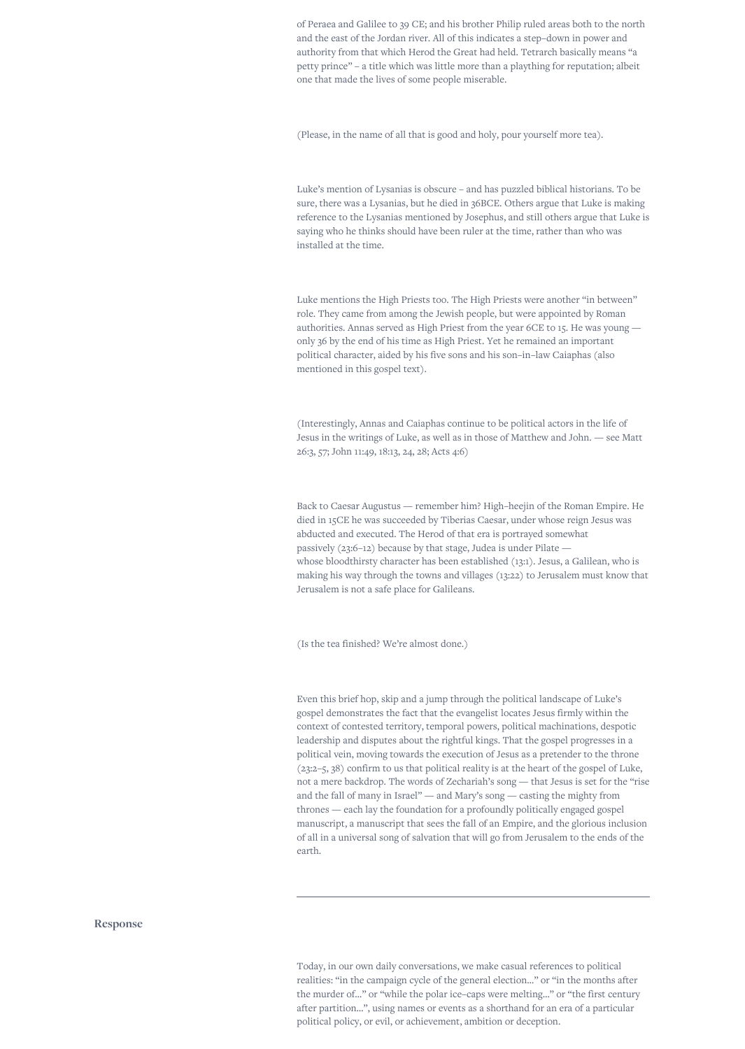of Peraea and Galilee to 39 CE; and his brother Philip ruled areas both to the north and the east of the Jordan river. All of this indicates a step–down in power and authority from that which Herod the Great had held. Tetrarch basically means "a petty prince" – a title which was little more than a plaything for reputation; albeit one that made the lives of some people miserable.

(Please, in the name of all that is good and holy, pour yourself more tea).

Luke's mention of Lysanias is obscure – and has puzzled biblical historians. To be sure, there was a Lysanias, but he died in 36BCE. Others argue that Luke is making reference to the Lysanias mentioned by Josephus, and still others argue that Luke is saying who he thinks should have been ruler at the time, rather than who was installed at the time.

Luke mentions the High Priests too. The High Priests were another "in between" role. They came from among the Jewish people, but were appointed by Roman authorities. Annas served as High Priest from the year 6CE to 15. He was young only 36 by the end of his time as High Priest. Yet he remained an important political character, aided by his five sons and his son–in–law Caiaphas (also mentioned in this gospel text).

(Interestingly, Annas and Caiaphas continue to be political actors in the life of Jesus in the writings of Luke, as well as in those of Matthew and John. — see Matt 26:3, 57; John 11:49, 18:13, 24, 28; Acts 4:6)

Back to Caesar Augustus — remember him? High–heejin of the Roman Empire. He died in 15CE he was succeeded by Tiberias Caesar, under whose reign Jesus was abducted and executed. The Herod of that era is portrayed somewhat passively (23:6–12) because by that stage, Judea is under Pilate whose bloodthirsty character has been established (13:1). Jesus, a Galilean, who is making his way through the towns and villages (13:22) to Jerusalem must know that Jerusalem is not a safe place for Galileans.

(Is the tea finished? We're almost done.)

Even this brief hop, skip and a jump through the political landscape of Luke's gospel demonstrates the fact that the evangelist locates Jesus firmly within the context of contested territory, temporal powers, political machinations, despotic leadership and disputes about the rightful kings. That the gospel progresses in a political vein, moving towards the execution of Jesus as a pretender to the throne (23:2–5, 38) confirm to us that political reality is at the heart of the gospel of Luke, not a mere backdrop. The words of Zechariah's song — that Jesus is set for the "rise and the fall of many in Israel" — and Mary's song — casting the mighty from thrones — each lay the foundation for a profoundly politically engaged gospel manuscript, a manuscript that sees the fall of an Empire, and the glorious inclusion of all in a universal song of salvation that will go from Jerusalem to the ends of the earth.

**Response**

Today, in our own daily conversations, we make casual references to political realities: "in the campaign cycle of the general election…" or "in the months after the murder of…" or "while the polar ice–caps were melting…" or "the first century after partition…", using names or events as a shorthand for an era of a particular political policy, or evil, or achievement, ambition or deception.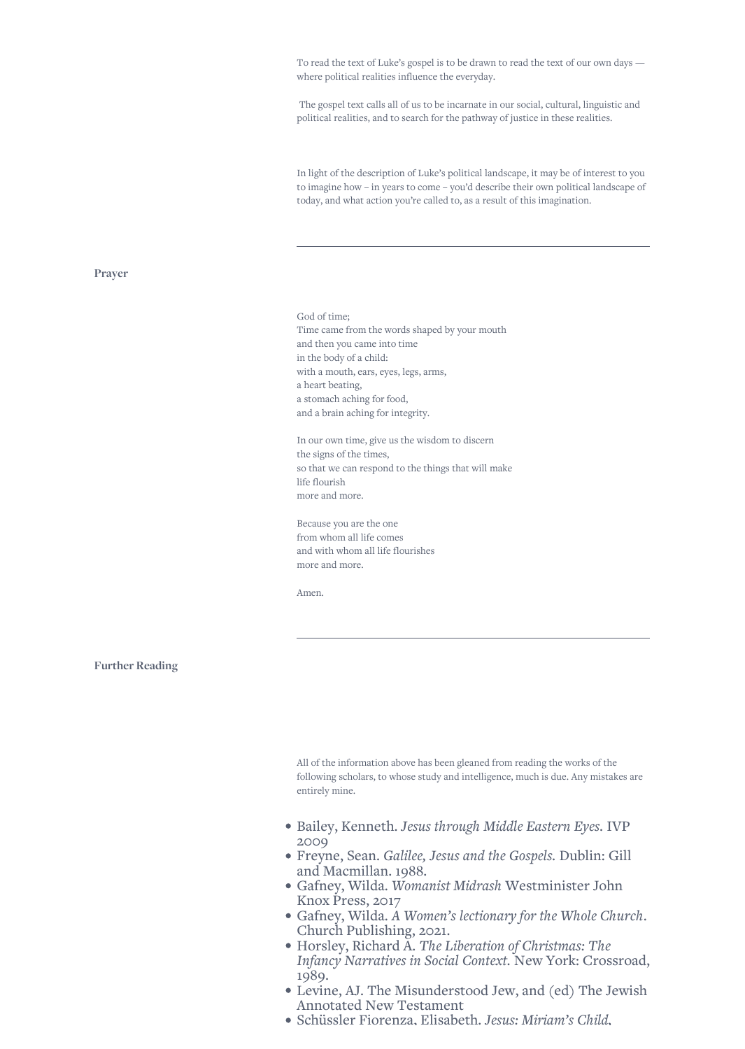To read the text of Luke's gospel is to be drawn to read the text of our own days where political realities influence the everyday.

 The gospel text calls all of us to be incarnate in our social, cultural, linguistic and political realities, and to search for the pathway of justice in these realities.

In light of the description of Luke's political landscape, it may be of interest to you to imagine how – in years to come – you'd describe their own political landscape of today, and what action you're called to, as a result of this imagination.

**Prayer**

God of time; Time came from the words shaped by your mouth and then you came into time in the body of a child: with a mouth, ears, eyes, legs, arms, a heart beating, a stomach aching for food, and a brain aching for integrity.

In our own time, give us the wisdom to discern the signs of the times, so that we can respond to the things that will make life flourish more and more.

Because you are the one from whom all life comes and with whom all life flourishes more and more.

Amen.

**Further Reading**

All of the information above has been gleaned from reading the works of the following scholars, to whose study and intelligence, much is due. Any mistakes are entirely mine.

- Bailey, Kenneth. *Jesus through Middle Eastern Eyes.* IVP 2009
- Freyne, Sean. *Galilee, Jesus and the Gospels.* Dublin: Gill and Macmillan. 1988.
- Gafney, Wilda. *Womanist Midrash* Westminister John Knox Press, 2017
- Gafney, Wilda. *A Women's lectionary for the Whole Church*. Church Publishing, 2021.
- Horsley, Richard A. *The Liberation of Christmas: The Infancy Narratives in Social Context.* New York: Crossroad, 1989.
- Levine, AJ. The Misunderstood Jew, and (ed) The Jewish Annotated New Testament
- Schüssler Fiorenza, Elisabeth. *Jesus: Miriam's Child,*